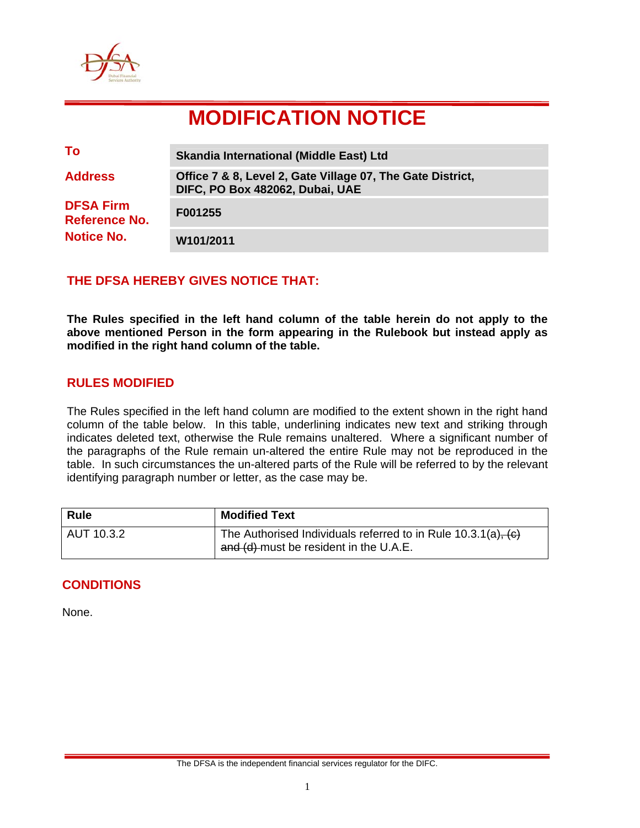

# **MODIFICATION NOTICE**

| To                                | <b>Skandia International (Middle East) Ltd</b>                                                |
|-----------------------------------|-----------------------------------------------------------------------------------------------|
| <b>Address</b>                    | Office 7 & 8, Level 2, Gate Village 07, The Gate District,<br>DIFC, PO Box 482062, Dubai, UAE |
| <b>DFSA Firm</b><br>Reference No. | F001255                                                                                       |
| <b>Notice No.</b>                 | W101/2011                                                                                     |

## **THE DFSA HEREBY GIVES NOTICE THAT:**

**The Rules specified in the left hand column of the table herein do not apply to the above mentioned Person in the form appearing in the Rulebook but instead apply as modified in the right hand column of the table.** 

### **RULES MODIFIED**

The Rules specified in the left hand column are modified to the extent shown in the right hand column of the table below. In this table, underlining indicates new text and striking through indicates deleted text, otherwise the Rule remains unaltered. Where a significant number of the paragraphs of the Rule remain un-altered the entire Rule may not be reproduced in the table. In such circumstances the un-altered parts of the Rule will be referred to by the relevant identifying paragraph number or letter, as the case may be.

| <b>Rule</b> | <b>Modified Text</b>                                                                                         |
|-------------|--------------------------------------------------------------------------------------------------------------|
| AUT 10.3.2  | The Authorised Individuals referred to in Rule $10.3.1(a)$ , $(c)$<br>and (d) must be resident in the U.A.E. |

## **CONDITIONS**

None.